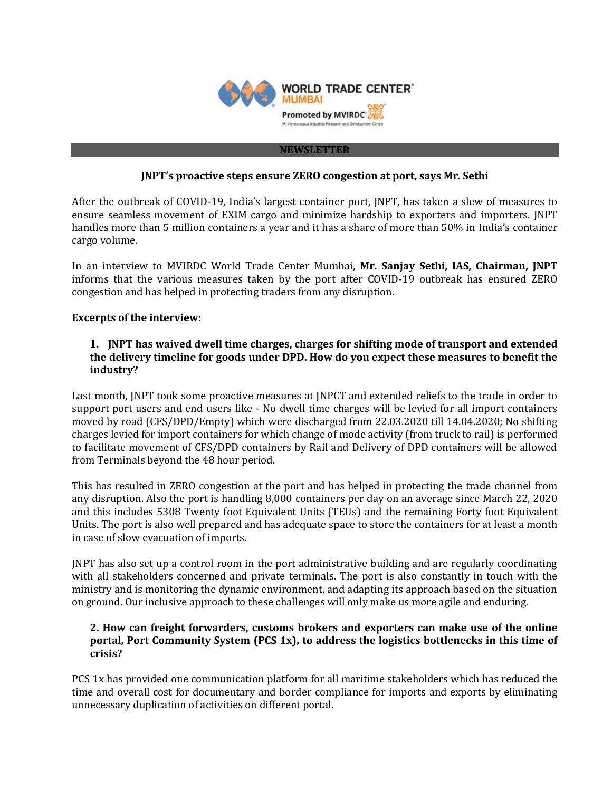

#### **NEWSLETTER**

# **JNPT's proactive steps ensure ZERO congestion at port, says Mr. Sethi**

After the outbreak of COVID-19, India's largest container port, JNPT, has taken a slew of measures to ensure seamless movement of EXIM cargo and minimize hardship to exporters and importers. JNPT handles more than 5 million containers a year and it has a share of more than 50% in India's container cargo volume.

In an interview to MVIRDC World Trade Center Mumbai, **Mr. Sanjay Sethi, IAS, Chairman, JNPT** informs that the various measures taken by the port after COVID-19 outbreak has ensured ZERO congestion and has helped in protecting traders from any disruption.

## **Excerpts of the interview:**

# **1. JNPT has waived dwell time charges, charges for shifting mode of transport and extended the delivery timeline for goods under DPD. How do you expect these measures to benefit the industry?**

Last month, JNPT took some proactive measures at JNPCT and extended reliefs to the trade in order to support port users and end users like - No dwell time charges will be levied for all import containers moved by road (CFS/DPD/Empty) which were discharged from 22.03.2020 till 14.04.2020; No shifting charges levied for import containers for which change of mode activity (from truck to rail) is performed to facilitate movement of CFS/DPD containers by Rail and Delivery of DPD containers will be allowed from Terminals beyond the 48 hour period.

This has resulted in ZERO congestion at the port and has helped in protecting the trade channel from any disruption. Also the port is handling 8,000 containers per day on an average since March 22, 2020 and this includes 5308 Twenty foot Equivalent Units (TEUs) and the remaining Forty foot Equivalent Units. The port is also well prepared and has adequate space to store the containers for at least a month in case of slow evacuation of imports.

JNPT has also set up a control room in the port administrative building and are regularly coordinating with all stakeholders concerned and private terminals. The port is also constantly in touch with the ministry and is monitoring the dynamic environment, and adapting its approach based on the situation on ground. Our inclusive approach to these challenges will only make us more agile and enduring.

## **2. How can freight forwarders, customs brokers and exporters can make use of the online portal, Port Community System (PCS 1x), to address the logistics bottlenecks in this time of crisis?**

PCS 1x has provided one communication platform for all maritime stakeholders which has reduced the time and overall cost for documentary and border compliance for imports and exports by eliminating unnecessary duplication of activities on different portal.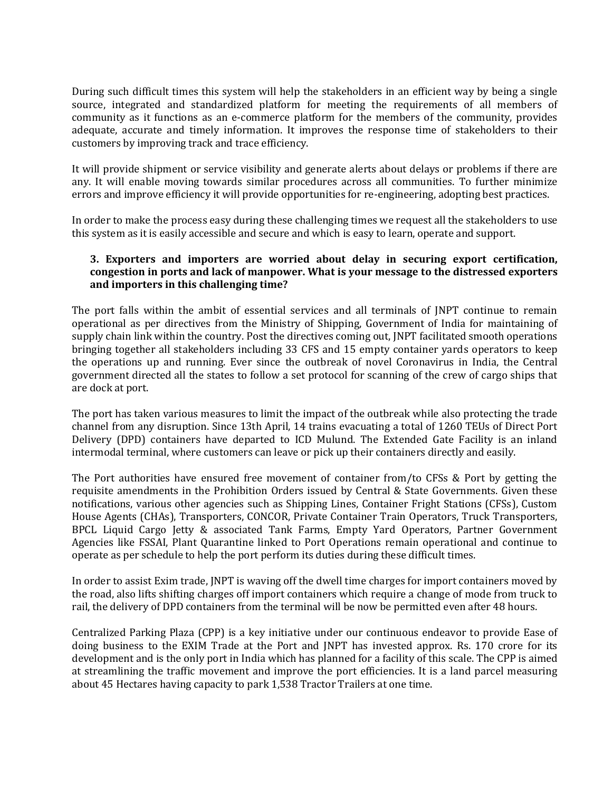During such difficult times this system will help the stakeholders in an efficient way by being a single source, integrated and standardized platform for meeting the requirements of all members of community as it functions as an e-commerce platform for the members of the community, provides adequate, accurate and timely information. It improves the response time of stakeholders to their customers by improving track and trace efficiency.

It will provide shipment or service visibility and generate alerts about delays or problems if there are any. It will enable moving towards similar procedures across all communities. To further minimize errors and improve efficiency it will provide opportunities for re-engineering, adopting best practices.

In order to make the process easy during these challenging times we request all the stakeholders to use this system as it is easily accessible and secure and which is easy to learn, operate and support.

## **3. Exporters and importers are worried about delay in securing export certification, congestion in ports and lack of manpower. What is your message to the distressed exporters and importers in this challenging time?**

The port falls within the ambit of essential services and all terminals of JNPT continue to remain operational as per directives from the Ministry of Shipping, Government of India for maintaining of supply chain link within the country. Post the directives coming out, JNPT facilitated smooth operations bringing together all stakeholders including 33 CFS and 15 empty container yards operators to keep the operations up and running. Ever since the outbreak of novel Coronavirus in India, the Central government directed all the states to follow a set protocol for scanning of the crew of cargo ships that are dock at port.

The port has taken various measures to limit the impact of the outbreak while also protecting the trade channel from any disruption. Since 13th April, 14 trains evacuating a total of 1260 TEUs of Direct Port Delivery (DPD) containers have departed to ICD Mulund. The Extended Gate Facility is an inland intermodal terminal, where customers can leave or pick up their containers directly and easily.

The Port authorities have ensured free movement of container from/to CFSs & Port by getting the requisite amendments in the Prohibition Orders issued by Central & State Governments. Given these notifications, various other agencies such as Shipping Lines, Container Fright Stations (CFSs), Custom House Agents (CHAs), Transporters, CONCOR, Private Container Train Operators, Truck Transporters, BPCL Liquid Cargo Jetty & associated Tank Farms, Empty Yard Operators, Partner Government Agencies like FSSAI, Plant Quarantine linked to Port Operations remain operational and continue to operate as per schedule to help the port perform its duties during these difficult times.

In order to assist Exim trade, JNPT is waving off the dwell time charges for import containers moved by the road, also lifts shifting charges off import containers which require a change of mode from truck to rail, the delivery of DPD containers from the terminal will be now be permitted even after 48 hours.

Centralized Parking Plaza (CPP) is a key initiative under our continuous endeavor to provide Ease of doing business to the EXIM Trade at the Port and JNPT has invested approx. Rs. 170 crore for its development and is the only port in India which has planned for a facility of this scale. The CPP is aimed at streamlining the traffic movement and improve the port efficiencies. It is a land parcel measuring about 45 Hectares having capacity to park 1,538 Tractor Trailers at one time.